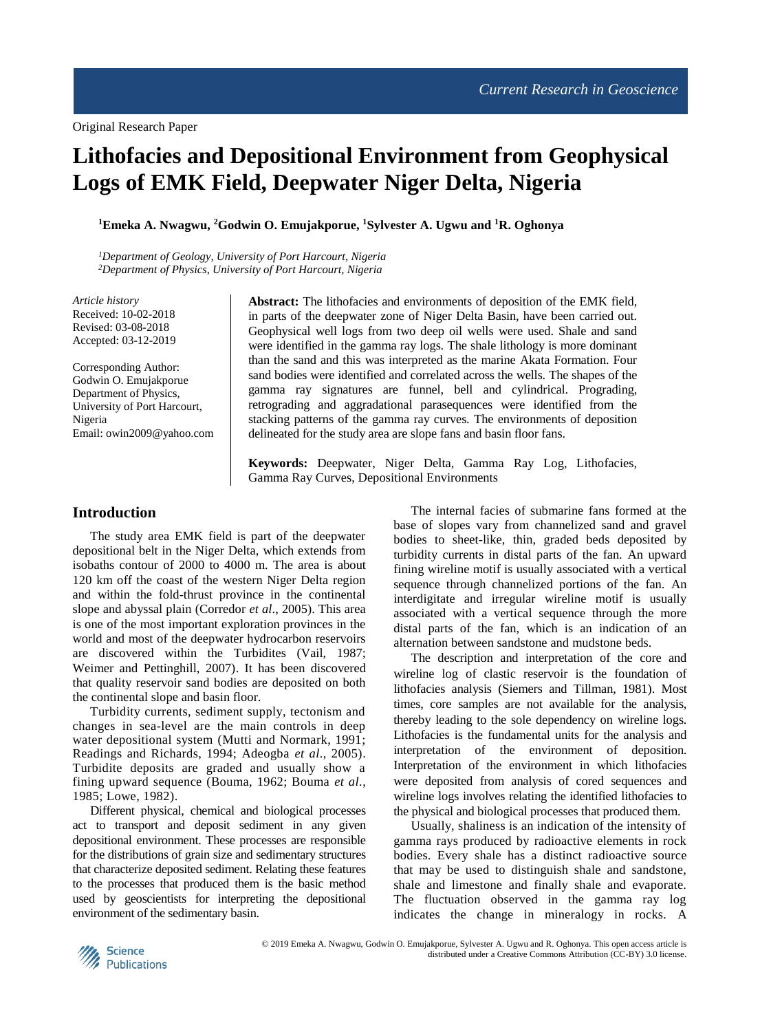# **Lithofacies and Depositional Environment from Geophysical Logs of EMK Field, Deepwater Niger Delta, Nigeria**

**<sup>1</sup>Emeka A. Nwagwu, <sup>2</sup>Godwin O. Emujakporue, <sup>1</sup>Sylvester A. Ugwu and <sup>1</sup>R. Oghonya**

*<sup>1</sup>Department of Geology, University of Port Harcourt, Nigeria <sup>2</sup>Department of Physics, University of Port Harcourt, Nigeria*

*Article history* Received: 10-02-2018 Revised: 03-08-2018 Accepted: 03-12-2019

Corresponding Author: Godwin O. Emujakporue Department of Physics, University of Port Harcourt, Nigeria Email: owin2009@yahoo.com **Abstract:** The lithofacies and environments of deposition of the EMK field, in parts of the deepwater zone of Niger Delta Basin, have been carried out. Geophysical well logs from two deep oil wells were used. Shale and sand were identified in the gamma ray logs. The shale lithology is more dominant than the sand and this was interpreted as the marine Akata Formation. Four sand bodies were identified and correlated across the wells. The shapes of the gamma ray signatures are funnel, bell and cylindrical. Prograding, retrograding and aggradational parasequences were identified from the stacking patterns of the gamma ray curves. The environments of deposition delineated for the study area are slope fans and basin floor fans.

**Keywords:** Deepwater, Niger Delta, Gamma Ray Log, Lithofacies, Gamma Ray Curves, Depositional Environments

#### **Introduction**

The study area EMK field is part of the deepwater depositional belt in the Niger Delta, which extends from isobaths contour of 2000 to 4000 m. The area is about 120 km off the coast of the western Niger Delta region and within the fold-thrust province in the continental slope and abyssal plain (Corredor *et al*., 2005). This area is one of the most important exploration provinces in the world and most of the deepwater hydrocarbon reservoirs are discovered within the Turbidites (Vail, 1987; Weimer and Pettinghill, 2007). It has been discovered that quality reservoir sand bodies are deposited on both the continental slope and basin floor.

Turbidity currents, sediment supply, tectonism and changes in sea-level are the main controls in deep water depositional system (Mutti and Normark, 1991; Readings and Richards, 1994; Adeogba *et al*., 2005). Turbidite deposits are graded and usually show a fining upward sequence (Bouma, 1962; Bouma *et al*., 1985; Lowe, 1982).

Different physical, chemical and biological processes act to transport and deposit sediment in any given depositional environment. These processes are responsible for the distributions of grain size and sedimentary structures that characterize deposited sediment. Relating these features to the processes that produced them is the basic method used by geoscientists for interpreting the depositional environment of the sedimentary basin.

The internal facies of submarine fans formed at the base of slopes vary from channelized sand and gravel bodies to sheet-like, thin, graded beds deposited by turbidity currents in distal parts of the fan. An upward fining wireline motif is usually associated with a vertical sequence through channelized portions of the fan. An interdigitate and irregular wireline motif is usually associated with a vertical sequence through the more distal parts of the fan, which is an indication of an alternation between sandstone and mudstone beds.

The description and interpretation of the core and wireline log of clastic reservoir is the foundation of lithofacies analysis (Siemers and Tillman, 1981). Most times, core samples are not available for the analysis, thereby leading to the sole dependency on wireline logs. Lithofacies is the fundamental units for the analysis and interpretation of the environment of deposition. Interpretation of the environment in which lithofacies were deposited from analysis of cored sequences and wireline logs involves relating the identified lithofacies to the physical and biological processes that produced them.

Usually, shaliness is an indication of the intensity of gamma rays produced by radioactive elements in rock bodies. Every shale has a distinct radioactive source that may be used to distinguish shale and sandstone, shale and limestone and finally shale and evaporate. The fluctuation observed in the gamma ray log indicates the change in mineralogy in rocks. A

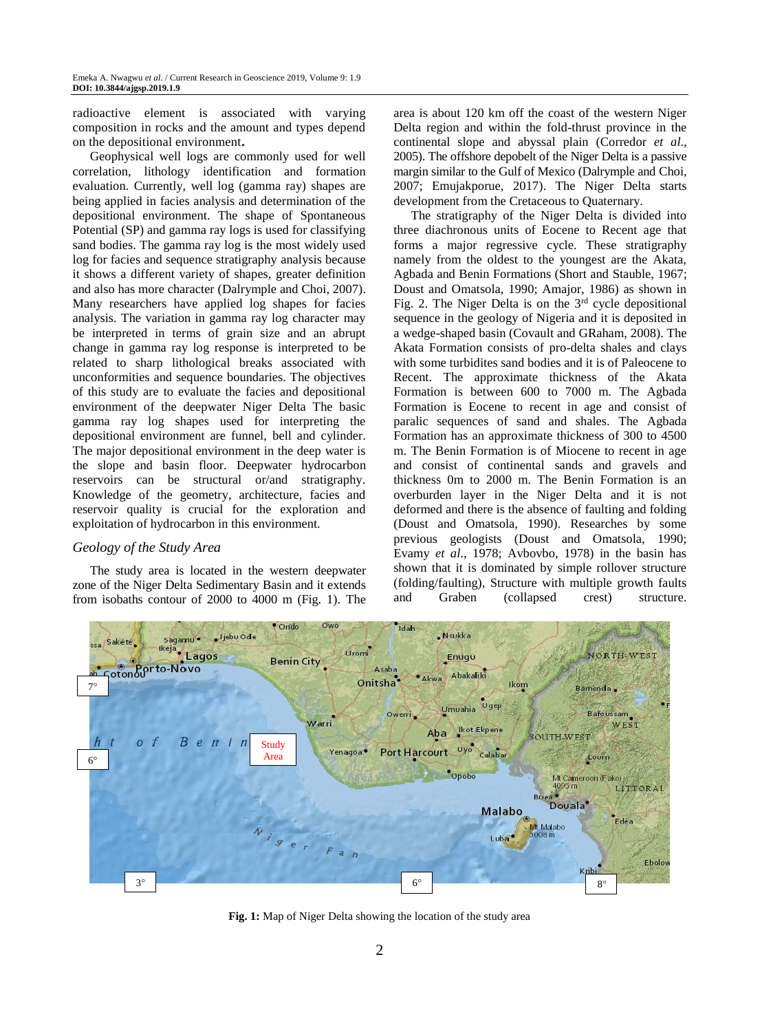radioactive element is associated with varying composition in rocks and the amount and types depend on the depositional environment**.**

Geophysical well logs are commonly used for well correlation, lithology identification and formation evaluation. Currently, well log (gamma ray) shapes are being applied in facies analysis and determination of the depositional environment. The shape of Spontaneous Potential (SP) and gamma ray logs is used for classifying sand bodies. The gamma ray log is the most widely used log for facies and sequence stratigraphy analysis because it shows a different variety of shapes, greater definition and also has more character (Dalrymple and Choi, 2007). Many researchers have applied log shapes for facies analysis. The variation in gamma ray log character may be interpreted in terms of grain size and an abrupt change in gamma ray log response is interpreted to be related to sharp lithological breaks associated with unconformities and sequence boundaries. The objectives of this study are to evaluate the facies and depositional environment of the deepwater Niger Delta The basic gamma ray log shapes used for interpreting the depositional environment are funnel, bell and cylinder. The major depositional environment in the deep water is the slope and basin floor. Deepwater hydrocarbon reservoirs can be structural or/and stratigraphy. Knowledge of the geometry, architecture, facies and reservoir quality is crucial for the exploration and exploitation of hydrocarbon in this environment.

#### *Geology of the Study Area*

The study area is located in the western deepwater zone of the Niger Delta Sedimentary Basin and it extends from isobaths contour of 2000 to 4000 m (Fig. 1). The area is about 120 km off the coast of the western Niger Delta region and within the fold-thrust province in the continental slope and abyssal plain (Corredor *et al*., 2005). The offshore depobelt of the Niger Delta is a passive margin similar to the Gulf of Mexico (Dalrymple and Choi, 2007; Emujakporue, 2017). The Niger Delta starts development from the Cretaceous to Quaternary.

The stratigraphy of the Niger Delta is divided into three diachronous units of Eocene to Recent age that forms a major regressive cycle. These stratigraphy namely from the oldest to the youngest are the Akata, Agbada and Benin Formations (Short and Stauble, 1967; Doust and Omatsola, 1990; Amajor, 1986) as shown in Fig. 2. The Niger Delta is on the  $3<sup>rd</sup>$  cycle depositional sequence in the geology of Nigeria and it is deposited in a wedge-shaped basin (Covault and GRaham, 2008). The Akata Formation consists of pro-delta shales and clays with some turbidites sand bodies and it is of Paleocene to Recent. The approximate thickness of the Akata Formation is between 600 to 7000 m. The Agbada Formation is Eocene to recent in age and consist of paralic sequences of sand and shales. The Agbada Formation has an approximate thickness of 300 to 4500 m. The Benin Formation is of Miocene to recent in age and consist of continental sands and gravels and thickness 0m to 2000 m. The Benin Formation is an overburden layer in the Niger Delta and it is not deformed and there is the absence of faulting and folding (Doust and Omatsola, 1990). Researches by some previous geologists (Doust and Omatsola, 1990; Evamy *et al*., 1978; Avbovbo, 1978) in the basin has shown that it is dominated by simple rollover structure (folding/faulting), Structure with multiple growth faults and Graben (collapsed crest) structure.



**Fig. 1:** Map of Niger Delta showing the location of the study area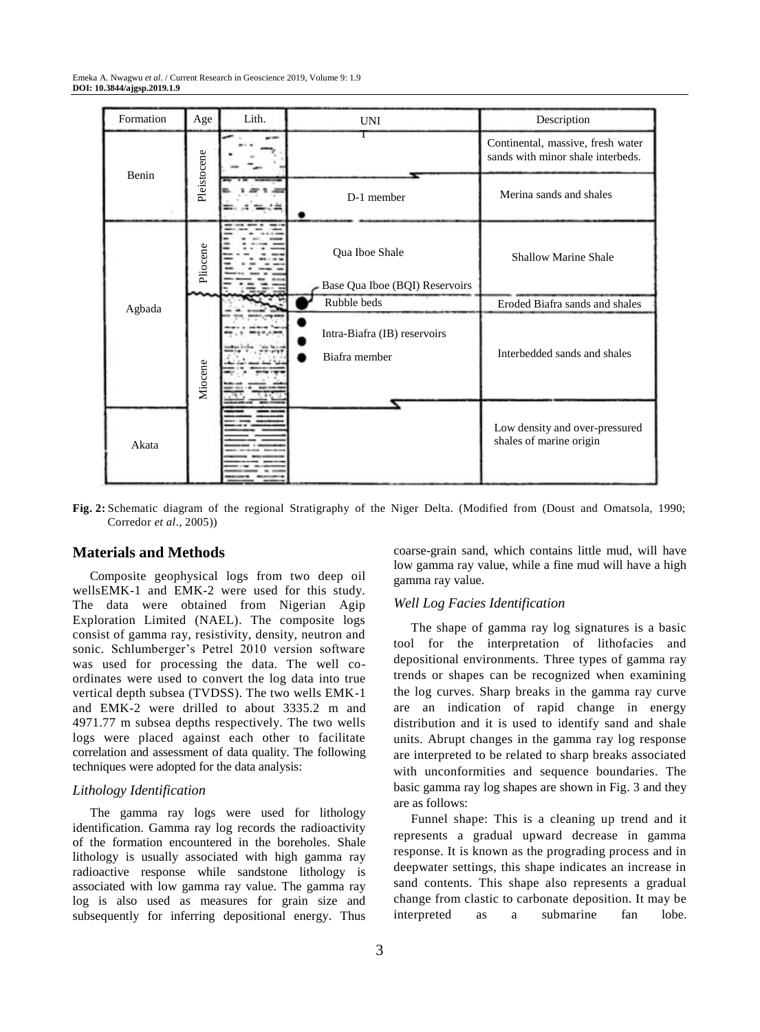| Formation | Age         | Lith. | <b>UNI</b>                                       | Description                                                            |
|-----------|-------------|-------|--------------------------------------------------|------------------------------------------------------------------------|
| Benin     | Pleistocene |       | т                                                | Continental, massive, fresh water<br>sands with minor shale interbeds. |
|           |             |       | D-1 member                                       | Merina sands and shales                                                |
| Agbada    | Pliocene    |       | Qua Iboe Shale<br>Base Qua Iboe (BQI) Reservoirs | <b>Shallow Marine Shale</b>                                            |
|           | Miocene     |       | Rubble beds                                      | Eroded Biafra sands and shales                                         |
|           |             |       | Intra-Biafra (IB) reservoirs<br>Biafra member    | Interbedded sands and shales                                           |
| Akata     |             |       |                                                  | Low density and over-pressured<br>shales of marine origin              |

**Fig. 2:** Schematic diagram of the regional Stratigraphy of the Niger Delta. (Modified from (Doust and Omatsola, 1990; Corredor *et al*., 2005))

#### **Materials and Methods**

Composite geophysical logs from two deep oil wellsEMK-1 and EMK-2 were used for this study. The data were obtained from Nigerian Agip Exploration Limited (NAEL). The composite logs consist of gamma ray, resistivity, density, neutron and sonic. Schlumberger's Petrel 2010 version software was used for processing the data. The well coordinates were used to convert the log data into true vertical depth subsea (TVDSS). The two wells EMK-1 and EMK-2 were drilled to about 3335.2 m and 4971.77 m subsea depths respectively. The two wells logs were placed against each other to facilitate correlation and assessment of data quality. The following techniques were adopted for the data analysis:

#### *Lithology Identification*

The gamma ray logs were used for lithology identification. Gamma ray log records the radioactivity of the formation encountered in the boreholes. Shale lithology is usually associated with high gamma ray radioactive response while sandstone lithology is associated with low gamma ray value. The gamma ray log is also used as measures for grain size and subsequently for inferring depositional energy. Thus coarse-grain sand, which contains little mud, will have low gamma ray value, while a fine mud will have a high gamma ray value.

#### *Well Log Facies Identification*

The shape of gamma ray log signatures is a basic tool for the interpretation of lithofacies and depositional environments. Three types of gamma ray trends or shapes can be recognized when examining the log curves. Sharp breaks in the gamma ray curve are an indication of rapid change in energy distribution and it is used to identify sand and shale units. Abrupt changes in the gamma ray log response are interpreted to be related to sharp breaks associated with unconformities and sequence boundaries. The basic gamma ray log shapes are shown in Fig. 3 and they are as follows:

Funnel shape: This is a cleaning up trend and it represents a gradual upward decrease in gamma response. It is known as the prograding process and in deepwater settings, this shape indicates an increase in sand contents. This shape also represents a gradual change from clastic to carbonate deposition. It may be interpreted as a submarine fan lobe.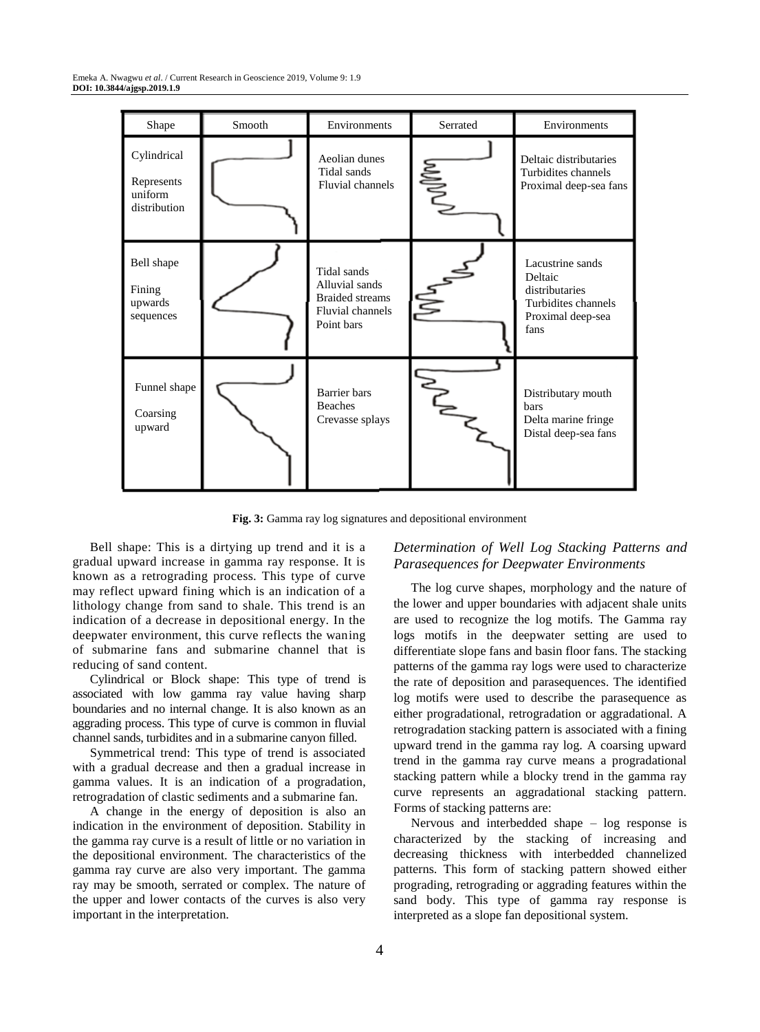| Shape                                                | Smooth | Environments                                                                              | Serrated | Environments                                                                                      |
|------------------------------------------------------|--------|-------------------------------------------------------------------------------------------|----------|---------------------------------------------------------------------------------------------------|
| Cylindrical<br>Represents<br>uniform<br>distribution |        | Aeolian dunes<br>Tidal sands<br>Fluvial channels                                          | PWM      | Deltaic distributaries<br>Turbidites channels<br>Proximal deep-sea fans                           |
| Bell shape<br>Fining<br>upwards<br>sequences         |        | Tidal sands<br>Alluvial sands<br><b>Braided</b> streams<br>Fluvial channels<br>Point bars |          | Lacustrine sands<br>Deltaic<br>distributaries<br>Turbidites channels<br>Proximal deep-sea<br>fans |
| Funnel shape<br>Coarsing<br>upward                   |        | <b>Barrier</b> bars<br><b>Beaches</b><br>Crevasse splays                                  |          | Distributary mouth<br><b>bars</b><br>Delta marine fringe<br>Distal deep-sea fans                  |

**Fig. 3:** Gamma ray log signatures and depositional environment

Bell shape: This is a dirtying up trend and it is a gradual upward increase in gamma ray response. It is known as a retrograding process. This type of curve may reflect upward fining which is an indication of a lithology change from sand to shale. This trend is an indication of a decrease in depositional energy. In the deepwater environment, this curve reflects the waning of submarine fans and submarine channel that is reducing of sand content.

Cylindrical or Block shape: This type of trend is associated with low gamma ray value having sharp boundaries and no internal change. It is also known as an aggrading process. This type of curve is common in fluvial channel sands, turbidites and in a submarine canyon filled.

Symmetrical trend: This type of trend is associated with a gradual decrease and then a gradual increase in gamma values. It is an indication of a progradation, retrogradation of clastic sediments and a submarine fan.

A change in the energy of deposition is also an indication in the environment of deposition. Stability in the gamma ray curve is a result of little or no variation in the depositional environment. The characteristics of the gamma ray curve are also very important. The gamma ray may be smooth, serrated or complex. The nature of the upper and lower contacts of the curves is also very important in the interpretation.

#### *Determination of Well Log Stacking Patterns and Parasequences for Deepwater Environments*

The log curve shapes, morphology and the nature of the lower and upper boundaries with adjacent shale units are used to recognize the log motifs. The Gamma ray logs motifs in the deepwater setting are used to differentiate slope fans and basin floor fans. The stacking patterns of the gamma ray logs were used to characterize the rate of deposition and parasequences. The identified log motifs were used to describe the parasequence as either progradational, retrogradation or aggradational. A retrogradation stacking pattern is associated with a fining upward trend in the gamma ray log. A coarsing upward trend in the gamma ray curve means a progradational stacking pattern while a blocky trend in the gamma ray curve represents an aggradational stacking pattern. Forms of stacking patterns are:

Nervous and interbedded shape – log response is characterized by the stacking of increasing and decreasing thickness with interbedded channelized patterns. This form of stacking pattern showed either prograding, retrograding or aggrading features within the sand body. This type of gamma ray response is interpreted as a slope fan depositional system.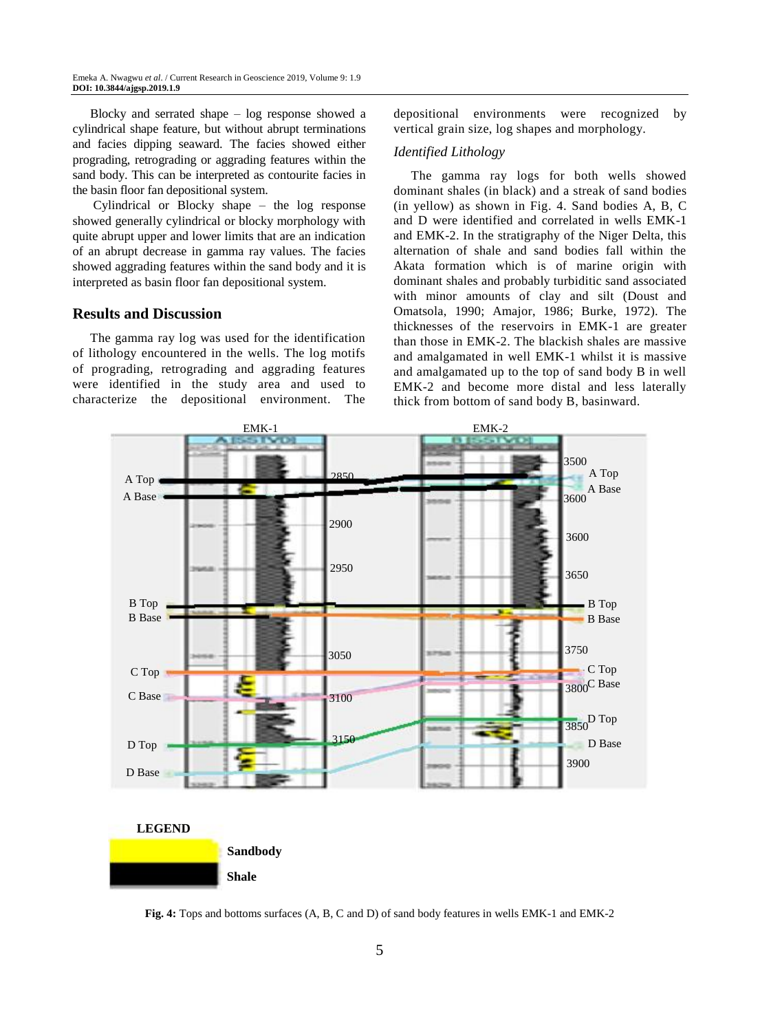Blocky and serrated shape – log response showed a cylindrical shape feature, but without abrupt terminations and facies dipping seaward. The facies showed either prograding, retrograding or aggrading features within the sand body. This can be interpreted as contourite facies in the basin floor fan depositional system.

Cylindrical or Blocky shape – the log response showed generally cylindrical or blocky morphology with quite abrupt upper and lower limits that are an indication of an abrupt decrease in gamma ray values. The facies showed aggrading features within the sand body and it is interpreted as basin floor fan depositional system.

## **Results and Discussion**

The gamma ray log was used for the identification of lithology encountered in the wells. The log motifs of prograding, retrograding and aggrading features were identified in the study area and used to characterize the depositional environment. The depositional environments were recognized by vertical grain size, log shapes and morphology.

### *Identified Lithology*

The gamma ray logs for both wells showed dominant shales (in black) and a streak of sand bodies (in yellow) as shown in Fig. 4. Sand bodies A, B, C and D were identified and correlated in wells EMK-1 and EMK-2. In the stratigraphy of the Niger Delta, this alternation of shale and sand bodies fall within the Akata formation which is of marine origin with dominant shales and probably turbiditic sand associated with minor amounts of clay and silt (Doust and Omatsola, 1990; Amajor, 1986; Burke, 1972). The thicknesses of the reservoirs in EMK-1 are greater than those in EMK-2. The blackish shales are massive and amalgamated in well EMK-1 whilst it is massive and amalgamated up to the top of sand body B in well EMK-2 and become more distal and less laterally thick from bottom of sand body B, basinward.



**Shale**

**Fig. 4:** Tops and bottoms surfaces (A, B, C and D) of sand body features in wells EMK-1 and EMK-2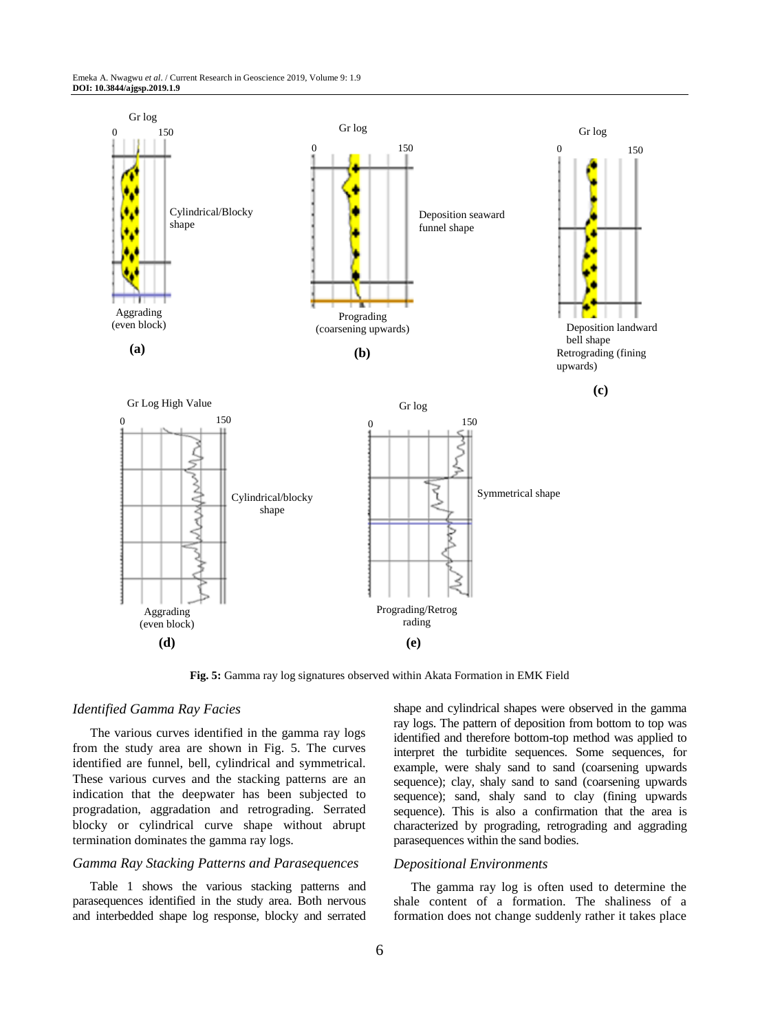

**Fig. 5:** Gamma ray log signatures observed within Akata Formation in EMK Field

#### *Identified Gamma Ray Facies*

The various curves identified in the gamma ray logs from the study area are shown in Fig. 5. The curves identified are funnel, bell, cylindrical and symmetrical. These various curves and the stacking patterns are an indication that the deepwater has been subjected to progradation, aggradation and retrograding. Serrated blocky or cylindrical curve shape without abrupt termination dominates the gamma ray logs.

#### *Gamma Ray Stacking Patterns and Parasequences*

Table 1 shows the various stacking patterns and parasequences identified in the study area. Both nervous and interbedded shape log response, blocky and serrated shape and cylindrical shapes were observed in the gamma ray logs. The pattern of deposition from bottom to top was identified and therefore bottom-top method was applied to interpret the turbidite sequences. Some sequences, for example, were shaly sand to sand (coarsening upwards sequence); clay, shaly sand to sand (coarsening upwards sequence); sand, shaly sand to clay (fining upwards sequence). This is also a confirmation that the area is characterized by prograding, retrograding and aggrading parasequences within the sand bodies.

#### *Depositional Environments*

The gamma ray log is often used to determine the shale content of a formation. The shaliness of a formation does not change suddenly rather it takes place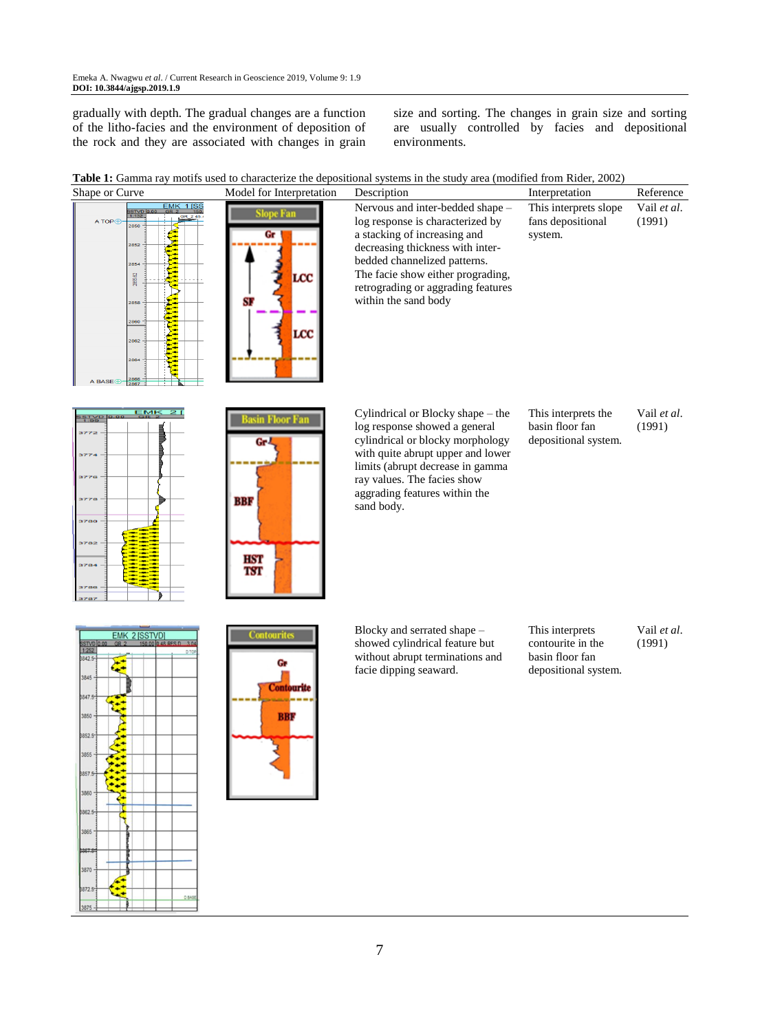gradually with depth. The gradual changes are a function of the litho-facies and the environment of deposition of the rock and they are associated with changes in grain

3875 -

size and sorting. The changes in grain size and sorting are usually controlled by facies and depositional environments.

**Table 1:** Gamma ray motifs used to characterize the depositional systems in the study area (modified from Rider, 2002)

| $\cdots$ $\cdots$<br>Shape or Curve                                                                             | Model for Interpretation                            | to entitiete the depositional systems in the stady area (modified from react), 2002,<br>Description                                                                                                                                                                         | Interpretation                                                                  | Reference             |
|-----------------------------------------------------------------------------------------------------------------|-----------------------------------------------------|-----------------------------------------------------------------------------------------------------------------------------------------------------------------------------------------------------------------------------------------------------------------------------|---------------------------------------------------------------------------------|-----------------------|
| EMK 1 [SS<br>A TOP⊕<br>2850<br>2852<br>2854<br>2855.62<br>2858<br>2860<br>2862<br>2864<br>A BASE <sub>(T</sub>  | ope Fan<br>GF<br>LCC<br>LCC                         | Nervous and inter-bedded shape -<br>log response is characterized by<br>a stacking of increasing and<br>decreasing thickness with inter-<br>bedded channelized patterns.<br>The facie show either prograding,<br>retrograding or aggrading features<br>within the sand body | This interprets slope<br>fans depositional<br>system.                           | Vail et al.<br>(1991) |
| EMK<br>マアアハ<br>3780<br>3782<br>784                                                                              | 3asin Floor Fan<br>Gr<br>BBF<br>HST<br>TST          | Cylindrical or Blocky shape - the<br>log response showed a general<br>cylindrical or blocky morphology<br>with quite abrupt upper and lower<br>limits (abrupt decrease in gamma<br>ray values. The facies show<br>aggrading features within the<br>sand body.               | This interprets the<br>basin floor fan<br>depositional system.                  | Vail et al.<br>(1991) |
| <b>EMK 2 [SSTVD]</b><br>SSTVD<br>3842.5<br>3845<br>8847.5<br>3850<br>3852.5<br>3855<br>8857.5<br>3860<br>8862.5 | Contourite<br>G.<br><b>Contourite</b><br><b>BBF</b> | Blocky and serrated shape -<br>showed cylindrical feature but<br>without abrupt terminations and<br>facie dipping seaward.                                                                                                                                                  | This interprets<br>contourite in the<br>basin floor fan<br>depositional system. | Vail et al.<br>(1991) |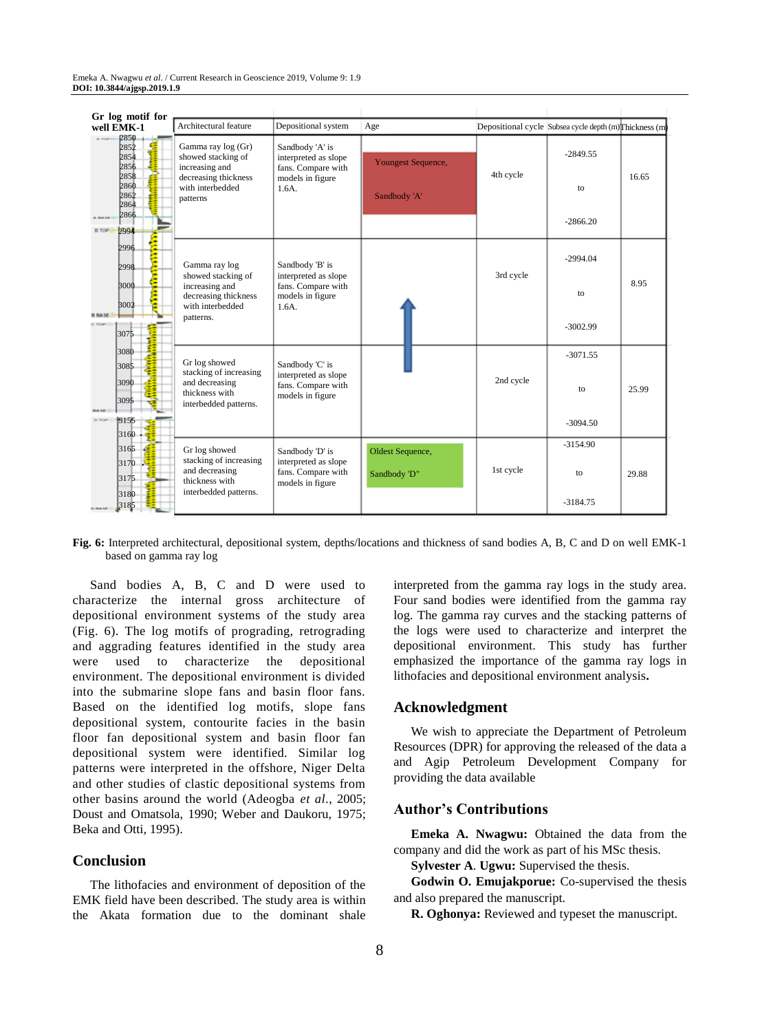| Gr log motif for<br>well EMK-1                                            | Architectural feature                                                                                              | Depositional system                                                                           | Age                                |           | Depositional cycle Subsea cycle depth (m) Thickness (m) |       |
|---------------------------------------------------------------------------|--------------------------------------------------------------------------------------------------------------------|-----------------------------------------------------------------------------------------------|------------------------------------|-----------|---------------------------------------------------------|-------|
| 2850<br>2852<br>2854<br>2856<br>2858<br>2860<br>2862<br>2864<br>2866      | Gamma ray log (Gr)<br>showed stacking of<br>increasing and<br>decreasing thickness<br>with interbedded<br>patterns | Sandbody 'A' is<br>interpreted as slope<br>fans. Compare with<br>models in figure<br>$1.6A$ . | Youngest Sequence,<br>Sandbody 'A' | 4th cycle | $-2849.55$<br>to<br>$-2866.20$                          | 16.65 |
| 2994<br>ä<br>2996<br>Ŝ<br>2998<br><b>Contract</b><br>3000<br>3002<br>3075 | Gamma ray log<br>showed stacking of<br>increasing and<br>decreasing thickness<br>with interbedded<br>patterns.     | Sandbody 'B' is<br>interpreted as slope<br>fans. Compare with<br>models in figure<br>$1.6A$ . |                                    | 3rd cycle | $-2994.04$<br>to<br>$-3002.99$                          | 8.95  |
| 3080<br>3085<br>3090<br>3095<br>3155<br>3160                              | Gr log showed<br>stacking of increasing<br>and decreasing<br>thickness with<br>interbedded patterns.               | Sandbody 'C' is<br>interpreted as slope<br>fans. Compare with<br>models in figure             |                                    | 2nd cycle | $-3071.55$<br>to<br>$-3094.50$                          | 25.99 |
| 3165<br>Æ<br>$3170 -$<br>3175<br>3180<br>3185                             | Gr log showed<br>stacking of increasing<br>and decreasing<br>thickness with<br>interbedded patterns.               | Sandbody 'D' is<br>interpreted as slope<br>fans. Compare with<br>models in figure             | Oldest Sequence,<br>Sandbody 'D"   | 1st cycle | $-3154.90$<br>to<br>$-3184.75$                          | 29.88 |

**Fig. 6:** Interpreted architectural, depositional system, depths/locations and thickness of sand bodies A, B, C and D on well EMK-1 based on gamma ray log

Sand bodies A, B, C and D were used to characterize the internal gross architecture of depositional environment systems of the study area (Fig. 6). The log motifs of prograding, retrograding and aggrading features identified in the study area were used to characterize the depositional environment. The depositional environment is divided into the submarine slope fans and basin floor fans. Based on the identified log motifs, slope fans depositional system, contourite facies in the basin floor fan depositional system and basin floor fan depositional system were identified. Similar log patterns were interpreted in the offshore, Niger Delta and other studies of clastic depositional systems from other basins around the world (Adeogba *et al*., 2005; Doust and Omatsola, 1990; Weber and Daukoru, 1975; Beka and Otti, 1995).

## **Conclusion**

The lithofacies and environment of deposition of the EMK field have been described. The study area is within the Akata formation due to the dominant shale

interpreted from the gamma ray logs in the study area. Four sand bodies were identified from the gamma ray log. The gamma ray curves and the stacking patterns of the logs were used to characterize and interpret the depositional environment. This study has further emphasized the importance of the gamma ray logs in lithofacies and depositional environment analysis**.**

#### **Acknowledgment**

We wish to appreciate the Department of Petroleum Resources (DPR) for approving the released of the data a and Agip Petroleum Development Company for providing the data available

#### **Author's Contributions**

**Emeka A. Nwagwu:** Obtained the data from the company and did the work as part of his MSc thesis.

**Sylvester A**. **Ugwu:** Supervised the thesis.

**Godwin O. Emujakporue:** Co-supervised the thesis and also prepared the manuscript.

**R. Oghonya:** Reviewed and typeset the manuscript.